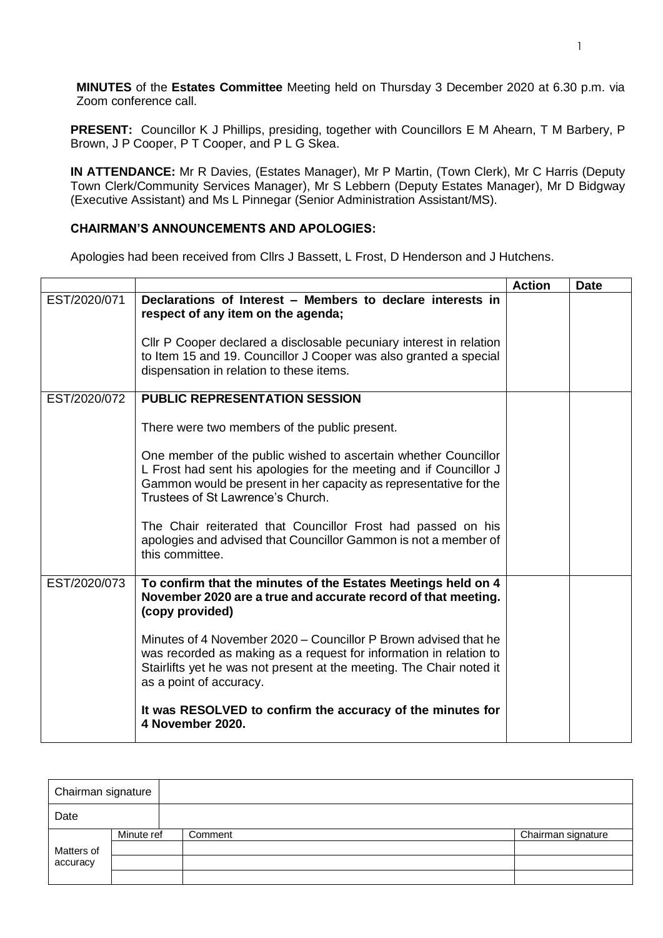**MINUTES** of the **Estates Committee** Meeting held on Thursday 3 December 2020 at 6.30 p.m. via Zoom conference call.

**PRESENT:** Councillor K J Phillips, presiding, together with Councillors E M Ahearn, T M Barbery, P Brown, J P Cooper, P T Cooper, and P L G Skea.

**IN ATTENDANCE:** Mr R Davies, (Estates Manager), Mr P Martin, (Town Clerk), Mr C Harris (Deputy Town Clerk/Community Services Manager), Mr S Lebbern (Deputy Estates Manager), Mr D Bidgway (Executive Assistant) and Ms L Pinnegar (Senior Administration Assistant/MS).

## **CHAIRMAN'S ANNOUNCEMENTS AND APOLOGIES:**

Apologies had been received from Cllrs J Bassett, L Frost, D Henderson and J Hutchens.

|              |                                                                                                                                                                                                                                                 | <b>Action</b> | <b>Date</b> |
|--------------|-------------------------------------------------------------------------------------------------------------------------------------------------------------------------------------------------------------------------------------------------|---------------|-------------|
| EST/2020/071 | Declarations of Interest - Members to declare interests in<br>respect of any item on the agenda;                                                                                                                                                |               |             |
|              | CIIr P Cooper declared a disclosable pecuniary interest in relation<br>to Item 15 and 19. Councillor J Cooper was also granted a special<br>dispensation in relation to these items.                                                            |               |             |
| EST/2020/072 | <b>PUBLIC REPRESENTATION SESSION</b>                                                                                                                                                                                                            |               |             |
|              | There were two members of the public present.                                                                                                                                                                                                   |               |             |
|              | One member of the public wished to ascertain whether Councillor<br>L Frost had sent his apologies for the meeting and if Councillor J<br>Gammon would be present in her capacity as representative for the<br>Trustees of St Lawrence's Church. |               |             |
|              | The Chair reiterated that Councillor Frost had passed on his<br>apologies and advised that Councillor Gammon is not a member of<br>this committee.                                                                                              |               |             |
| EST/2020/073 | To confirm that the minutes of the Estates Meetings held on 4<br>November 2020 are a true and accurate record of that meeting.<br>(copy provided)                                                                                               |               |             |
|              | Minutes of 4 November 2020 – Councillor P Brown advised that he<br>was recorded as making as a request for information in relation to<br>Stairlifts yet he was not present at the meeting. The Chair noted it<br>as a point of accuracy.        |               |             |
|              | It was RESOLVED to confirm the accuracy of the minutes for<br>4 November 2020.                                                                                                                                                                  |               |             |

| Chairman signature |            |         |                    |
|--------------------|------------|---------|--------------------|
| Date               |            |         |                    |
|                    | Minute ref | Comment | Chairman signature |
| Matters of         |            |         |                    |
| accuracy           |            |         |                    |
|                    |            |         |                    |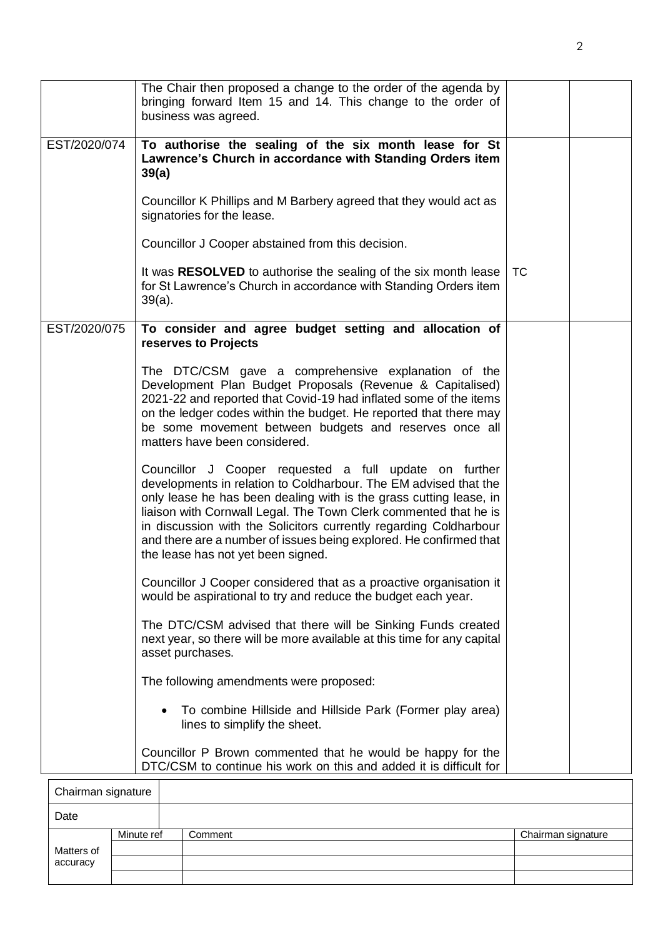|              | The Chair then proposed a change to the order of the agenda by<br>bringing forward Item 15 and 14. This change to the order of<br>business was agreed.                                                                                                                                                                                                                                                                                                |           |  |
|--------------|-------------------------------------------------------------------------------------------------------------------------------------------------------------------------------------------------------------------------------------------------------------------------------------------------------------------------------------------------------------------------------------------------------------------------------------------------------|-----------|--|
| EST/2020/074 | To authorise the sealing of the six month lease for St<br>Lawrence's Church in accordance with Standing Orders item<br>39(a)                                                                                                                                                                                                                                                                                                                          |           |  |
|              | Councillor K Phillips and M Barbery agreed that they would act as<br>signatories for the lease.                                                                                                                                                                                                                                                                                                                                                       |           |  |
|              | Councillor J Cooper abstained from this decision.                                                                                                                                                                                                                                                                                                                                                                                                     |           |  |
|              | It was RESOLVED to authorise the sealing of the six month lease<br>for St Lawrence's Church in accordance with Standing Orders item<br>$39(a)$ .                                                                                                                                                                                                                                                                                                      | <b>TC</b> |  |
| EST/2020/075 | To consider and agree budget setting and allocation of<br>reserves to Projects                                                                                                                                                                                                                                                                                                                                                                        |           |  |
|              | The DTC/CSM gave a comprehensive explanation of the<br>Development Plan Budget Proposals (Revenue & Capitalised)<br>2021-22 and reported that Covid-19 had inflated some of the items<br>on the ledger codes within the budget. He reported that there may<br>be some movement between budgets and reserves once all<br>matters have been considered.                                                                                                 |           |  |
|              | Councillor J Cooper requested a full update on further<br>developments in relation to Coldharbour. The EM advised that the<br>only lease he has been dealing with is the grass cutting lease, in<br>liaison with Cornwall Legal. The Town Clerk commented that he is<br>in discussion with the Solicitors currently regarding Coldharbour<br>and there are a number of issues being explored. He confirmed that<br>the lease has not yet been signed. |           |  |
|              | Councillor J Cooper considered that as a proactive organisation it<br>would be aspirational to try and reduce the budget each year.                                                                                                                                                                                                                                                                                                                   |           |  |
|              | The DTC/CSM advised that there will be Sinking Funds created<br>next year, so there will be more available at this time for any capital<br>asset purchases.                                                                                                                                                                                                                                                                                           |           |  |
|              | The following amendments were proposed:                                                                                                                                                                                                                                                                                                                                                                                                               |           |  |
|              | To combine Hillside and Hillside Park (Former play area)<br>lines to simplify the sheet.                                                                                                                                                                                                                                                                                                                                                              |           |  |
|              | Councillor P Brown commented that he would be happy for the<br>DTC/CSM to continue his work on this and added it is difficult for                                                                                                                                                                                                                                                                                                                     |           |  |

| Chairman signature |            |         |                    |
|--------------------|------------|---------|--------------------|
| Date               |            |         |                    |
|                    | Minute ref | Comment | Chairman signature |
| Matters of         |            |         |                    |
| accuracy           |            |         |                    |
|                    |            |         |                    |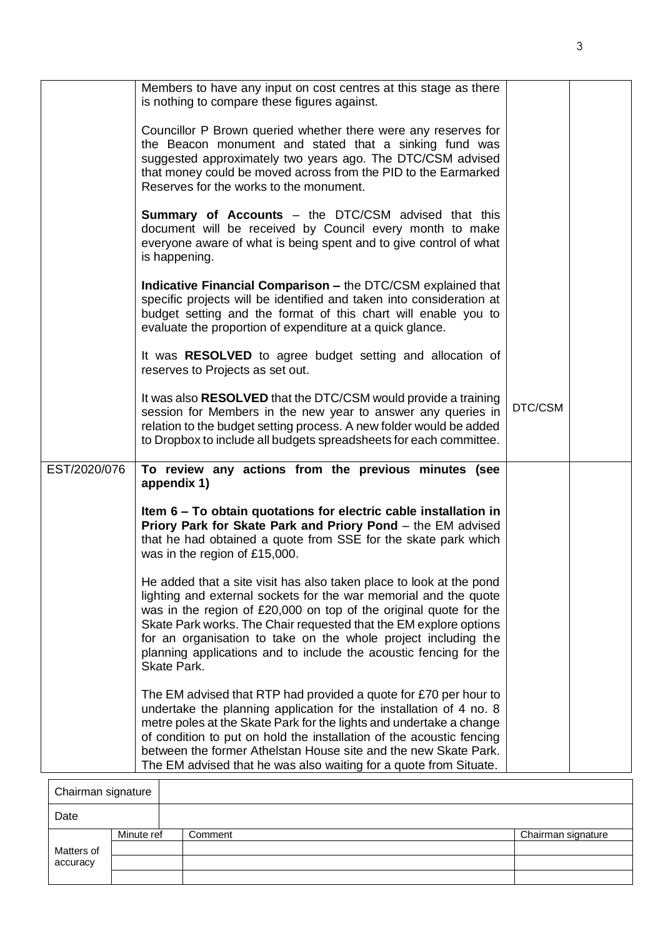|              | Members to have any input on cost centres at this stage as there                                                                                                                                                                                                                                                                                                                                                                        |         |  |
|--------------|-----------------------------------------------------------------------------------------------------------------------------------------------------------------------------------------------------------------------------------------------------------------------------------------------------------------------------------------------------------------------------------------------------------------------------------------|---------|--|
|              | is nothing to compare these figures against.                                                                                                                                                                                                                                                                                                                                                                                            |         |  |
|              | Councillor P Brown queried whether there were any reserves for<br>the Beacon monument and stated that a sinking fund was<br>suggested approximately two years ago. The DTC/CSM advised<br>that money could be moved across from the PID to the Earmarked<br>Reserves for the works to the monument.                                                                                                                                     |         |  |
|              | <b>Summary of Accounts</b> – the DTC/CSM advised that this<br>document will be received by Council every month to make<br>everyone aware of what is being spent and to give control of what<br>is happening.                                                                                                                                                                                                                            |         |  |
|              | <b>Indicative Financial Comparison – the DTC/CSM explained that</b><br>specific projects will be identified and taken into consideration at<br>budget setting and the format of this chart will enable you to<br>evaluate the proportion of expenditure at a quick glance.                                                                                                                                                              |         |  |
|              | It was RESOLVED to agree budget setting and allocation of<br>reserves to Projects as set out.                                                                                                                                                                                                                                                                                                                                           |         |  |
|              | It was also RESOLVED that the DTC/CSM would provide a training<br>session for Members in the new year to answer any queries in<br>relation to the budget setting process. A new folder would be added<br>to Dropbox to include all budgets spreadsheets for each committee.                                                                                                                                                             | DTC/CSM |  |
| EST/2020/076 | To review any actions from the previous minutes (see<br>appendix 1)                                                                                                                                                                                                                                                                                                                                                                     |         |  |
|              | Item 6 – To obtain quotations for electric cable installation in<br>Priory Park for Skate Park and Priory Pond - the EM advised<br>that he had obtained a quote from SSE for the skate park which<br>was in the region of £15,000.                                                                                                                                                                                                      |         |  |
|              | He added that a site visit has also taken place to look at the pond<br>lighting and external sockets for the war memorial and the quote<br>was in the region of £20,000 on top of the original quote for the<br>Skate Park works. The Chair requested that the EM explore options<br>for an organisation to take on the whole project including the<br>planning applications and to include the acoustic fencing for the<br>Skate Park. |         |  |
|              | The EM advised that RTP had provided a quote for £70 per hour to<br>undertake the planning application for the installation of 4 no. 8<br>metre poles at the Skate Park for the lights and undertake a change<br>of condition to put on hold the installation of the acoustic fencing<br>between the former Athelstan House site and the new Skate Park.<br>The EM advised that he was also waiting for a quote from Situate.           |         |  |
|              |                                                                                                                                                                                                                                                                                                                                                                                                                                         |         |  |

| Chairman signature |            |         |                    |
|--------------------|------------|---------|--------------------|
| Date               |            |         |                    |
|                    | Minute ref | Comment | Chairman signature |
| Matters of         |            |         |                    |
| accuracy           |            |         |                    |
|                    |            |         |                    |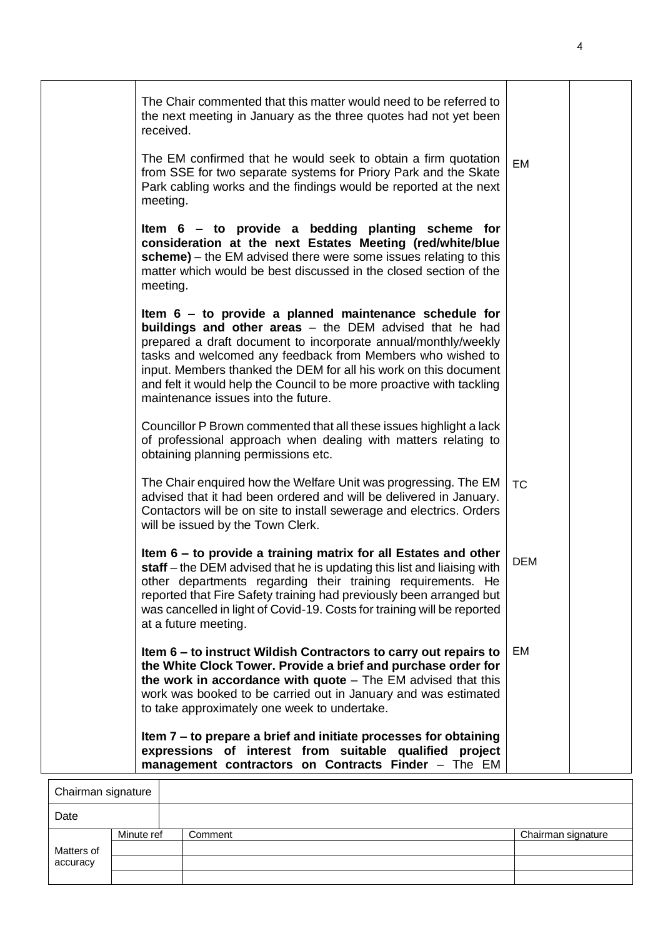| The Chair commented that this matter would need to be referred to<br>the next meeting in January as the three quotes had not yet been<br>received.                                                                                                                                                                                                                                                                                      |            |  |
|-----------------------------------------------------------------------------------------------------------------------------------------------------------------------------------------------------------------------------------------------------------------------------------------------------------------------------------------------------------------------------------------------------------------------------------------|------------|--|
| The EM confirmed that he would seek to obtain a firm quotation<br>from SSE for two separate systems for Priory Park and the Skate<br>Park cabling works and the findings would be reported at the next<br>meeting.                                                                                                                                                                                                                      | <b>EM</b>  |  |
| Item 6 - to provide a bedding planting scheme for<br>consideration at the next Estates Meeting (red/white/blue<br>scheme) – the EM advised there were some issues relating to this<br>matter which would be best discussed in the closed section of the<br>meeting.                                                                                                                                                                     |            |  |
| Item 6 – to provide a planned maintenance schedule for<br>buildings and other areas $-$ the DEM advised that he had<br>prepared a draft document to incorporate annual/monthly/weekly<br>tasks and welcomed any feedback from Members who wished to<br>input. Members thanked the DEM for all his work on this document<br>and felt it would help the Council to be more proactive with tackling<br>maintenance issues into the future. |            |  |
| Councillor P Brown commented that all these issues highlight a lack<br>of professional approach when dealing with matters relating to<br>obtaining planning permissions etc.                                                                                                                                                                                                                                                            |            |  |
| The Chair enquired how the Welfare Unit was progressing. The EM<br>advised that it had been ordered and will be delivered in January.<br>Contactors will be on site to install sewerage and electrics. Orders<br>will be issued by the Town Clerk.                                                                                                                                                                                      | <b>TC</b>  |  |
| Item 6 – to provide a training matrix for all Estates and other<br>staff - the DEM advised that he is updating this list and liaising with<br>other departments regarding their training requirements. He<br>reported that Fire Safety training had previously been arranged but<br>was cancelled in light of Covid-19. Costs for training will be reported<br>at a future meeting.                                                     | <b>DEM</b> |  |
| Item 6 – to instruct Wildish Contractors to carry out repairs to<br>the White Clock Tower. Provide a brief and purchase order for<br>the work in accordance with quote $-$ The EM advised that this<br>work was booked to be carried out in January and was estimated<br>to take approximately one week to undertake.                                                                                                                   | EM         |  |
| Item 7 – to prepare a brief and initiate processes for obtaining<br>expressions of interest from suitable qualified project<br>management contractors on Contracts Finder - The EM                                                                                                                                                                                                                                                      |            |  |

| Chairman signature |            |         |                    |
|--------------------|------------|---------|--------------------|
| Date               |            |         |                    |
|                    | Minute ref | Comment | Chairman signature |
| Matters of         |            |         |                    |
| accuracy           |            |         |                    |
|                    |            |         |                    |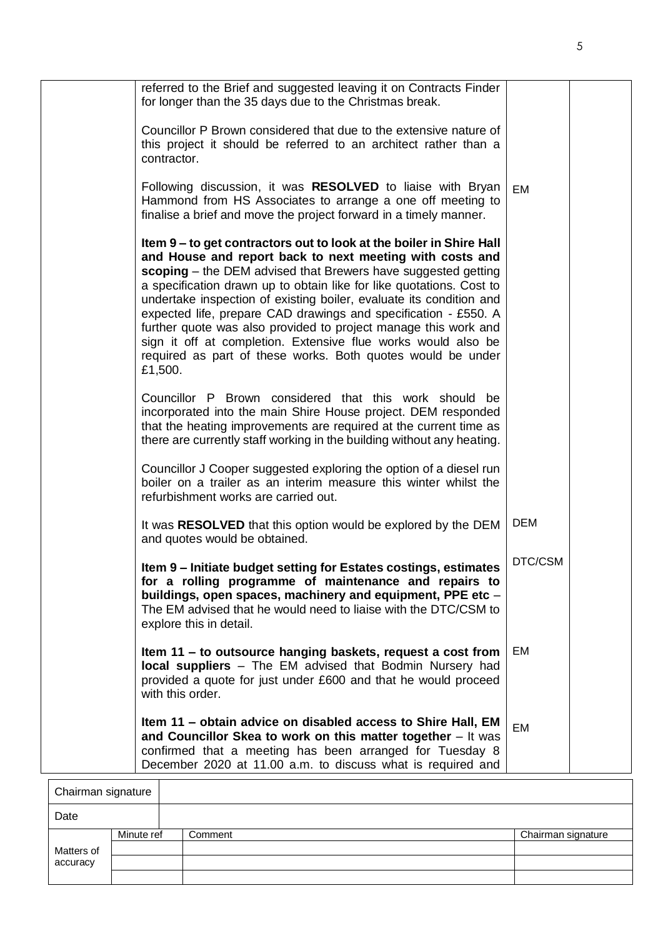| Item 11 – obtain advice on disabled access to Shire Hall, EM<br>and Councillor Skea to work on this matter together $-$ It was<br>confirmed that a meeting has been arranged for Tuesday 8<br>December 2020 at 11.00 a.m. to discuss what is required and                                                                                                                                                                                                                                                                                                                                                                        | EM         |  |
|----------------------------------------------------------------------------------------------------------------------------------------------------------------------------------------------------------------------------------------------------------------------------------------------------------------------------------------------------------------------------------------------------------------------------------------------------------------------------------------------------------------------------------------------------------------------------------------------------------------------------------|------------|--|
| Item 11 – to outsource hanging baskets, request a cost from<br>local suppliers - The EM advised that Bodmin Nursery had<br>provided a quote for just under £600 and that he would proceed<br>with this order.                                                                                                                                                                                                                                                                                                                                                                                                                    | EM         |  |
| Item 9 - Initiate budget setting for Estates costings, estimates<br>for a rolling programme of maintenance and repairs to<br>buildings, open spaces, machinery and equipment, PPE etc -<br>The EM advised that he would need to liaise with the DTC/CSM to<br>explore this in detail.                                                                                                                                                                                                                                                                                                                                            | DTC/CSM    |  |
| It was RESOLVED that this option would be explored by the DEM<br>and quotes would be obtained.                                                                                                                                                                                                                                                                                                                                                                                                                                                                                                                                   | <b>DEM</b> |  |
| Councillor J Cooper suggested exploring the option of a diesel run<br>boiler on a trailer as an interim measure this winter whilst the<br>refurbishment works are carried out.                                                                                                                                                                                                                                                                                                                                                                                                                                                   |            |  |
| Councillor P Brown considered that this work should be<br>incorporated into the main Shire House project. DEM responded<br>that the heating improvements are required at the current time as<br>there are currently staff working in the building without any heating.                                                                                                                                                                                                                                                                                                                                                           |            |  |
| Item 9 – to get contractors out to look at the boiler in Shire Hall<br>and House and report back to next meeting with costs and<br>scoping – the DEM advised that Brewers have suggested getting<br>a specification drawn up to obtain like for like quotations. Cost to<br>undertake inspection of existing boiler, evaluate its condition and<br>expected life, prepare CAD drawings and specification - £550. A<br>further quote was also provided to project manage this work and<br>sign it off at completion. Extensive flue works would also be<br>required as part of these works. Both quotes would be under<br>£1,500. |            |  |
| Following discussion, it was RESOLVED to liaise with Bryan<br>Hammond from HS Associates to arrange a one off meeting to<br>finalise a brief and move the project forward in a timely manner.                                                                                                                                                                                                                                                                                                                                                                                                                                    | <b>EM</b>  |  |
| Councillor P Brown considered that due to the extensive nature of<br>this project it should be referred to an architect rather than a<br>contractor.                                                                                                                                                                                                                                                                                                                                                                                                                                                                             |            |  |
| referred to the Brief and suggested leaving it on Contracts Finder<br>for longer than the 35 days due to the Christmas break.                                                                                                                                                                                                                                                                                                                                                                                                                                                                                                    |            |  |

| Chairman signature |            |         |                    |
|--------------------|------------|---------|--------------------|
| Date               |            |         |                    |
|                    | Minute ref | Comment | Chairman signature |
| Matters of         |            |         |                    |
| accuracy           |            |         |                    |
|                    |            |         |                    |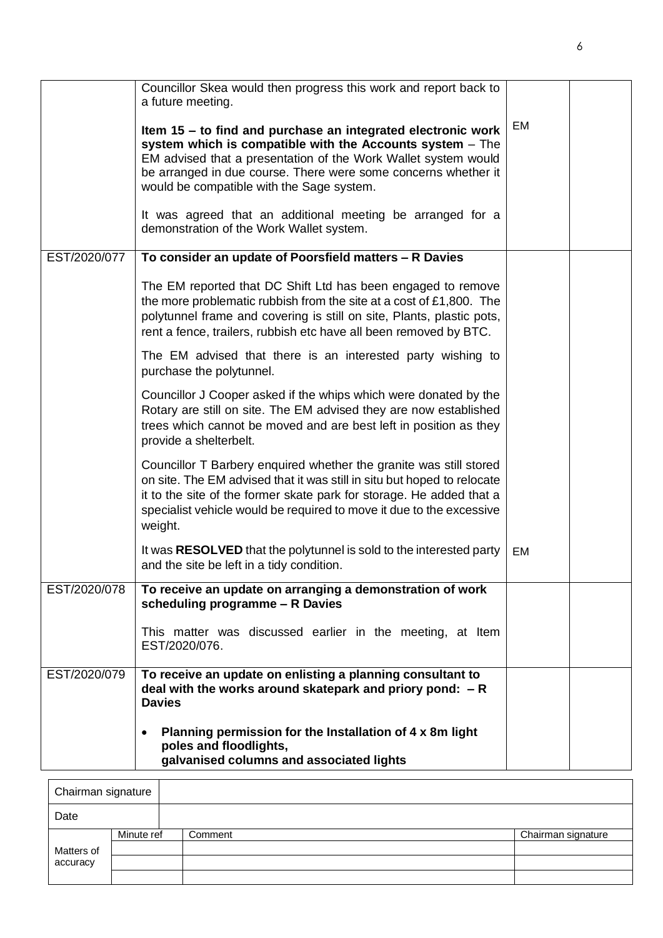|              | Councillor Skea would then progress this work and report back to<br>a future meeting.<br>Item 15 - to find and purchase an integrated electronic work<br>system which is compatible with the Accounts system - The<br>EM advised that a presentation of the Work Wallet system would<br>be arranged in due course. There were some concerns whether it<br>would be compatible with the Sage system.<br>It was agreed that an additional meeting be arranged for a<br>demonstration of the Work Wallet system. | EM |  |
|--------------|---------------------------------------------------------------------------------------------------------------------------------------------------------------------------------------------------------------------------------------------------------------------------------------------------------------------------------------------------------------------------------------------------------------------------------------------------------------------------------------------------------------|----|--|
| EST/2020/077 | To consider an update of Poorsfield matters - R Davies                                                                                                                                                                                                                                                                                                                                                                                                                                                        |    |  |
|              | The EM reported that DC Shift Ltd has been engaged to remove<br>the more problematic rubbish from the site at a cost of £1,800. The<br>polytunnel frame and covering is still on site, Plants, plastic pots,<br>rent a fence, trailers, rubbish etc have all been removed by BTC.                                                                                                                                                                                                                             |    |  |
|              | The EM advised that there is an interested party wishing to<br>purchase the polytunnel.                                                                                                                                                                                                                                                                                                                                                                                                                       |    |  |
|              | Councillor J Cooper asked if the whips which were donated by the<br>Rotary are still on site. The EM advised they are now established<br>trees which cannot be moved and are best left in position as they<br>provide a shelterbelt.                                                                                                                                                                                                                                                                          |    |  |
|              | Councillor T Barbery enquired whether the granite was still stored<br>on site. The EM advised that it was still in situ but hoped to relocate<br>it to the site of the former skate park for storage. He added that a<br>specialist vehicle would be required to move it due to the excessive<br>weight.                                                                                                                                                                                                      |    |  |
|              | It was RESOLVED that the polytunnel is sold to the interested party<br>and the site be left in a tidy condition.                                                                                                                                                                                                                                                                                                                                                                                              | EM |  |
| EST/2020/078 | To receive an update on arranging a demonstration of work<br>scheduling programme - R Davies                                                                                                                                                                                                                                                                                                                                                                                                                  |    |  |
|              | This matter was discussed earlier in the meeting, at Item<br>EST/2020/076.                                                                                                                                                                                                                                                                                                                                                                                                                                    |    |  |
| EST/2020/079 | To receive an update on enlisting a planning consultant to<br>deal with the works around skatepark and priory pond: $-R$<br><b>Davies</b>                                                                                                                                                                                                                                                                                                                                                                     |    |  |
|              | Planning permission for the Installation of 4 x 8m light<br>poles and floodlights,<br>galvanised columns and associated lights                                                                                                                                                                                                                                                                                                                                                                                |    |  |

| Chairman signature |            |         |                    |
|--------------------|------------|---------|--------------------|
| Date               |            |         |                    |
|                    | Minute ref | Comment | Chairman signature |
| Matters of         |            |         |                    |
| accuracy           |            |         |                    |
|                    |            |         |                    |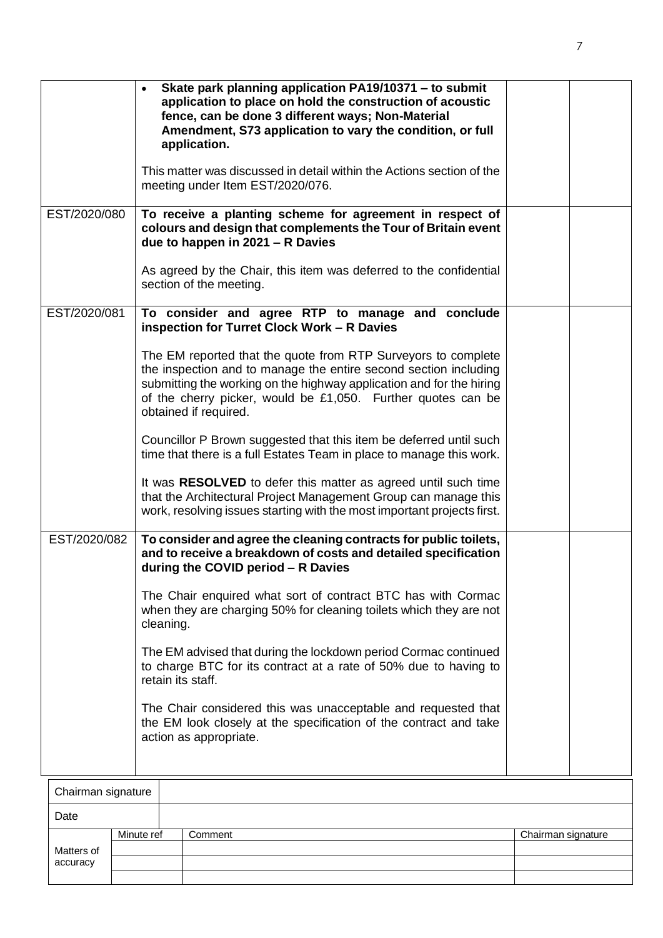|                    | Skate park planning application PA19/10371 - to submit<br>application to place on hold the construction of acoustic<br>fence, can be done 3 different ways; Non-Material<br>Amendment, S73 application to vary the condition, or full<br>application.<br>This matter was discussed in detail within the Actions section of the<br>meeting under Item EST/2020/076. |  |  |  |
|--------------------|--------------------------------------------------------------------------------------------------------------------------------------------------------------------------------------------------------------------------------------------------------------------------------------------------------------------------------------------------------------------|--|--|--|
| EST/2020/080       | To receive a planting scheme for agreement in respect of<br>colours and design that complements the Tour of Britain event<br>due to happen in $2021 - R$ Davies                                                                                                                                                                                                    |  |  |  |
|                    | As agreed by the Chair, this item was deferred to the confidential<br>section of the meeting.                                                                                                                                                                                                                                                                      |  |  |  |
| EST/2020/081       | To consider and agree RTP to manage and conclude<br>inspection for Turret Clock Work - R Davies                                                                                                                                                                                                                                                                    |  |  |  |
|                    | The EM reported that the quote from RTP Surveyors to complete<br>the inspection and to manage the entire second section including<br>submitting the working on the highway application and for the hiring<br>of the cherry picker, would be £1,050. Further quotes can be<br>obtained if required.                                                                 |  |  |  |
|                    | Councillor P Brown suggested that this item be deferred until such<br>time that there is a full Estates Team in place to manage this work.                                                                                                                                                                                                                         |  |  |  |
|                    | It was RESOLVED to defer this matter as agreed until such time<br>that the Architectural Project Management Group can manage this<br>work, resolving issues starting with the most important projects first.                                                                                                                                                       |  |  |  |
| EST/2020/082       | To consider and agree the cleaning contracts for public toilets,<br>and to receive a breakdown of costs and detailed specification<br>during the COVID period - R Davies                                                                                                                                                                                           |  |  |  |
|                    | The Chair enquired what sort of contract BTC has with Cormac<br>when they are charging 50% for cleaning toilets which they are not<br>cleaning.                                                                                                                                                                                                                    |  |  |  |
|                    | The EM advised that during the lockdown period Cormac continued<br>to charge BTC for its contract at a rate of 50% due to having to<br>retain its staff.                                                                                                                                                                                                           |  |  |  |
|                    | The Chair considered this was unacceptable and requested that<br>the EM look closely at the specification of the contract and take<br>action as appropriate.                                                                                                                                                                                                       |  |  |  |
| Chairman sionature |                                                                                                                                                                                                                                                                                                                                                                    |  |  |  |

| Chairman signature |            |         |                    |
|--------------------|------------|---------|--------------------|
| Date               |            |         |                    |
| Matters of         | Minute ref | Comment | Chairman signature |
|                    |            |         |                    |
| accuracy           |            |         |                    |
|                    |            |         |                    |